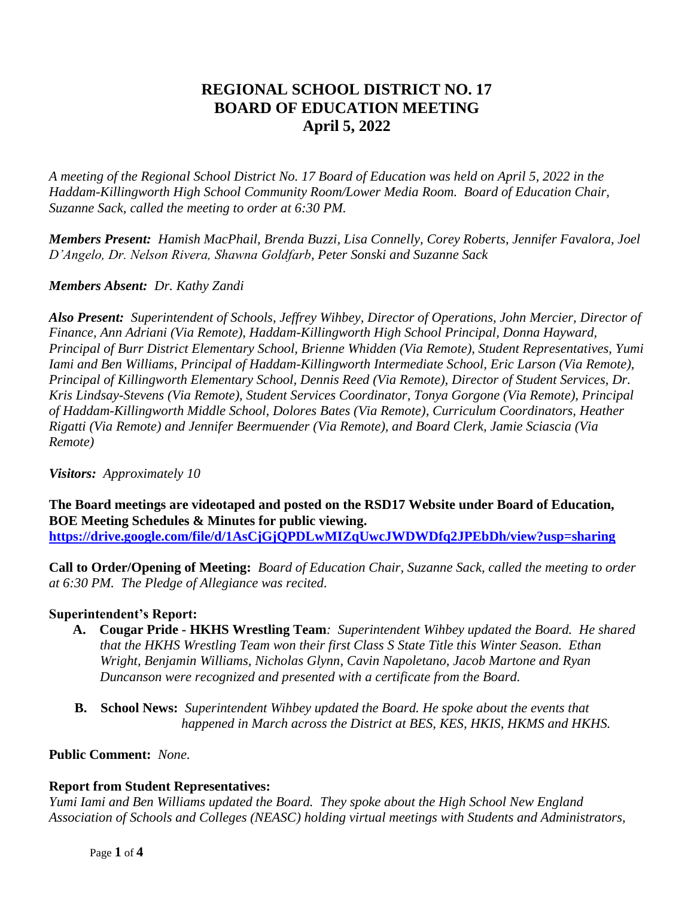# **REGIONAL SCHOOL DISTRICT NO. 17 BOARD OF EDUCATION MEETING April 5, 2022**

*A meeting of the Regional School District No. 17 Board of Education was held on April 5, 2022 in the Haddam-Killingworth High School Community Room/Lower Media Room. Board of Education Chair, Suzanne Sack, called the meeting to order at 6:30 PM.*

*Members Present: Hamish MacPhail, Brenda Buzzi, Lisa Connelly, Corey Roberts, Jennifer Favalora, Joel D'Angelo, Dr. Nelson Rivera, Shawna Goldfarb, Peter Sonski and Suzanne Sack*

# *Members Absent: Dr. Kathy Zandi*

*Also Present: Superintendent of Schools, Jeffrey Wihbey, Director of Operations, John Mercier, Director of Finance, Ann Adriani (Via Remote), Haddam-Killingworth High School Principal, Donna Hayward, Principal of Burr District Elementary School, Brienne Whidden (Via Remote), Student Representatives, Yumi Iami and Ben Williams, Principal of Haddam-Killingworth Intermediate School, Eric Larson (Via Remote), Principal of Killingworth Elementary School, Dennis Reed (Via Remote), Director of Student Services, Dr. Kris Lindsay-Stevens (Via Remote), Student Services Coordinator, Tonya Gorgone (Via Remote), Principal of Haddam-Killingworth Middle School, Dolores Bates (Via Remote), Curriculum Coordinators, Heather Rigatti (Via Remote) and Jennifer Beermuender (Via Remote), and Board Clerk, Jamie Sciascia (Via Remote)* 

*Visitors: Approximately 10*

**The Board meetings are videotaped and posted on the RSD17 Website under Board of Education, BOE Meeting Schedules & Minutes for public viewing. <https://drive.google.com/file/d/1AsCjGjQPDLwMIZqUwcJWDWDfq2JPEbDh/view?usp=sharing>**

**Call to Order/Opening of Meeting:** *Board of Education Chair, Suzanne Sack, called the meeting to order at 6:30 PM. The Pledge of Allegiance was recited.*

# **Superintendent's Report:**

- **A. Cougar Pride** *-* **HKHS Wrestling Team***: Superintendent Wihbey updated the Board. He shared* *that the HKHS Wrestling Team won their first Class S State Title this Winter Season. Ethan Wright, Benjamin Williams, Nicholas Glynn, Cavin Napoletano, Jacob Martone and Ryan Duncanson were recognized and presented with a certificate from the Board.*
- **B. School News:** *Superintendent Wihbey updated the Board. He spoke about the events that happened in March across the District at BES, KES, HKIS, HKMS and HKHS.*

#### **Public Comment:** *None.*

# **Report from Student Representatives:**

*Yumi Iami and Ben Williams updated the Board. They spoke about the High School New England Association of Schools and Colleges (NEASC) holding virtual meetings with Students and Administrators,*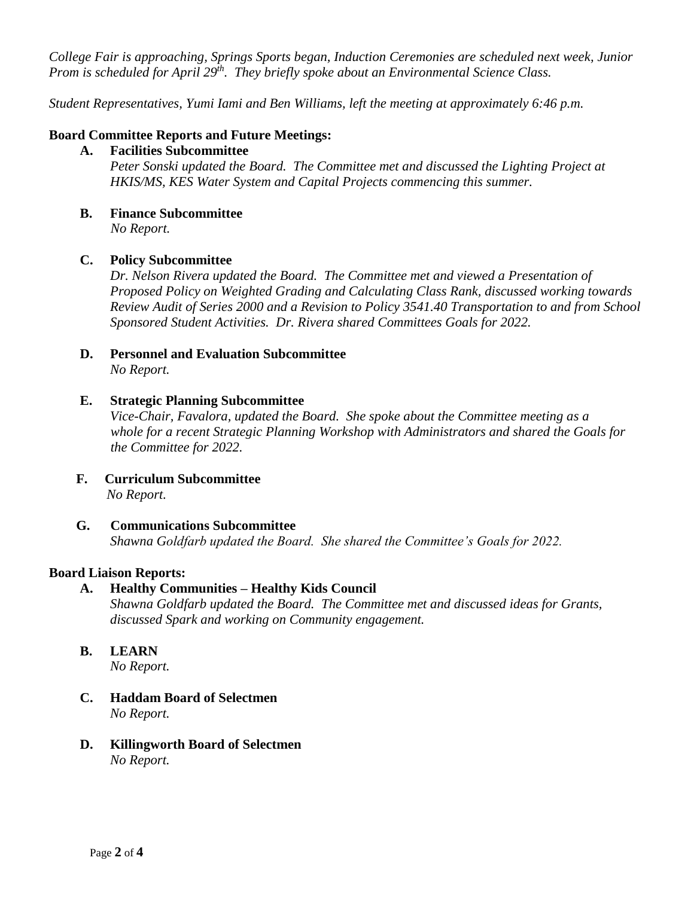*College Fair is approaching, Springs Sports began, Induction Ceremonies are scheduled next week, Junior Prom is scheduled for April 29th. They briefly spoke about an Environmental Science Class.*

*Student Representatives, Yumi Iami and Ben Williams, left the meeting at approximately 6:46 p.m.*

### **Board Committee Reports and Future Meetings:**

- **A. Facilities Subcommittee**  *Peter Sonski updated the Board. The Committee met and discussed the Lighting Project at HKIS/MS, KES Water System and Capital Projects commencing this summer.*
- **B. Finance Subcommittee** *No Report.*

#### **C. Policy Subcommittee**

*Dr. Nelson Rivera updated the Board. The Committee met and viewed a Presentation of Proposed Policy on Weighted Grading and Calculating Class Rank, discussed working towards Review Audit of Series 2000 and a Revision to Policy 3541.40 Transportation to and from School Sponsored Student Activities. Dr. Rivera shared Committees Goals for 2022.*

**D. Personnel and Evaluation Subcommittee**  *No Report.*

#### **E. Strategic Planning Subcommittee**

*Vice-Chair, Favalora, updated the Board. She spoke about the Committee meeting as a whole for a recent Strategic Planning Workshop with Administrators and shared the Goals for the Committee for 2022.*

- **F. Curriculum Subcommittee**  *No Report.*
- **G. Communications Subcommittee** *Shawna Goldfarb updated the Board. She shared the Committee's Goals for 2022.*

#### **Board Liaison Reports:**

**A. Healthy Communities – Healthy Kids Council** *Shawna Goldfarb updated the Board. The Committee met and discussed ideas for Grants,* 

*discussed Spark and working on Community engagement.*

**B. LEARN** 

*No Report.*

- **C. Haddam Board of Selectmen** *No Report.*
- **D. Killingworth Board of Selectmen** *No Report.*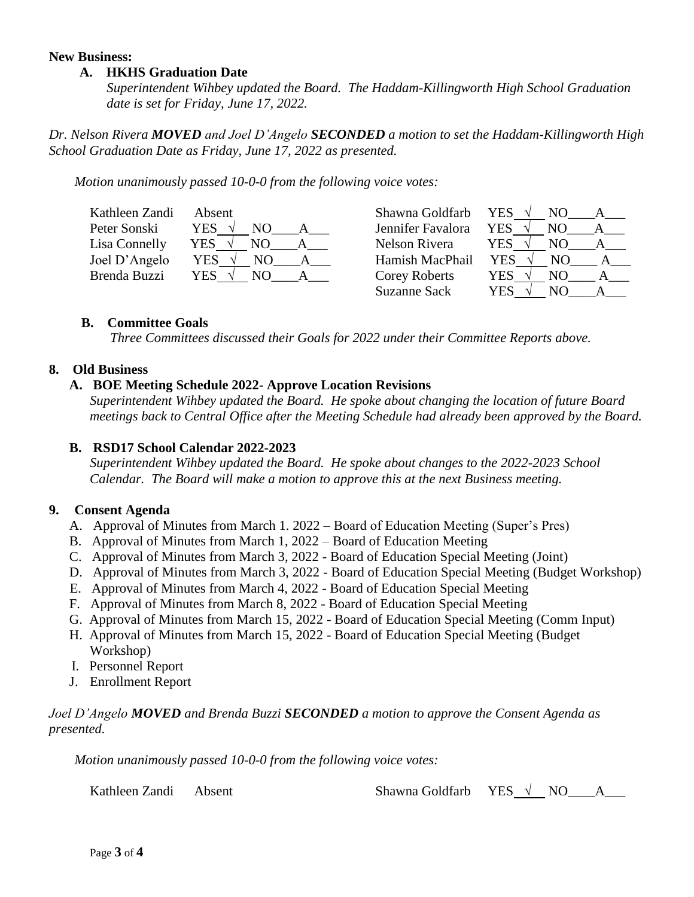#### **New Business:**

#### **A. HKHS Graduation Date**

 *Superintendent Wihbey updated the Board. The Haddam-Killingworth High School Graduation date is set for Friday, June 17, 2022.*

*Dr. Nelson Rivera MOVED and Joel D'Angelo SECONDED a motion to set the Haddam-Killingworth High School Graduation Date as Friday, June 17, 2022 as presented.*

*Motion unanimously passed 10-0-0 from the following voice votes:*

| Kathleen Zandi | Absent    | Shawna Goldfarb   | <b>YES</b><br>NO. |
|----------------|-----------|-------------------|-------------------|
| Peter Sonski   | YES.      | Jennifer Favalora | YES.<br>NO.       |
| Lisa Connelly  | YES<br>NO | Nelson Rivera     | <b>YES</b><br>NΟ  |
| Joel D'Angelo  | YES<br>NО | Hamish MacPhail   | <b>YES</b><br>NΟ  |
| Brenda Buzzi   | YES<br>NО | Corey Roberts     | YES<br>NO         |
|                |           | Suzanne Sack      | YES<br>NΟ         |

#### **B. Committee Goals**

*Three Committees discussed their Goals for 2022 under their Committee Reports above.*

# **8. Old Business**

#### **A. BOE Meeting Schedule 2022- Approve Location Revisions**

*Superintendent Wihbey updated the Board. He spoke about changing the location of future Board meetings back to Central Office after the Meeting Schedule had already been approved by the Board.* 

### **B. RSD17 School Calendar 2022-2023**

*Superintendent Wihbey updated the Board. He spoke about changes to the 2022-2023 School Calendar. The Board will make a motion to approve this at the next Business meeting.*

#### **9. Consent Agenda**

- A. Approval of Minutes from March 1. 2022 Board of Education Meeting (Super's Pres)
- B. Approval of Minutes from March 1, 2022 Board of Education Meeting
- C. Approval of Minutes from March 3, 2022 Board of Education Special Meeting (Joint)
- D. Approval of Minutes from March 3, 2022 Board of Education Special Meeting (Budget Workshop)
- E. Approval of Minutes from March 4, 2022 Board of Education Special Meeting
- F. Approval of Minutes from March 8, 2022 Board of Education Special Meeting
- G. Approval of Minutes from March 15, 2022 Board of Education Special Meeting (Comm Input)
- H. Approval of Minutes from March 15, 2022 Board of Education Special Meeting (Budget Workshop)
- I. Personnel Report
- J. Enrollment Report

### *Joel D'Angelo MOVED and Brenda Buzzi SECONDED a motion to approve the Consent Agenda as presented.*

*Motion unanimously passed 10-0-0 from the following voice votes:*

Kathleen Zandi Absent Shawna Goldfarb YES √ NO A